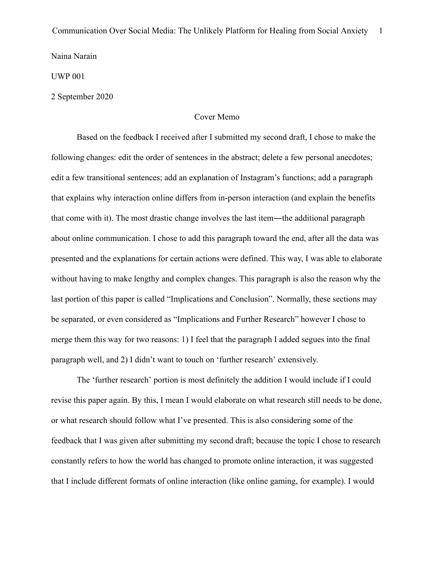Naina Narain

UWP 001

2 September 2020

# Cover Memo

Based on the feedback I received after I submitted my second draft, I chose to make the following changes: edit the order of sentences in the abstract; delete a few personal anecdotes; edit a few transitional sentences; add an explanation of Instagram's functions; add a paragraph that explains why interaction online differs from in-person interaction (and explain the benefits that come with it). The most drastic change involves the last item―the additional paragraph about online communication. I chose to add this paragraph toward the end, after all the data was presented and the explanations for certain actions were defined. This way, I was able to elaborate without having to make lengthy and complex changes. This paragraph is also the reason why the last portion of this paper is called "Implications and Conclusion". Normally, these sections may be separated, or even considered as "Implications and Further Research" however I chose to merge them this way for two reasons: 1) I feel that the paragraph I added segues into the final paragraph well, and 2) I didn't want to touch on 'further research' extensively.

The 'further research' portion is most definitely the addition I would include if I could revise this paper again. By this, I mean I would elaborate on what research still needs to be done, or what research should follow what I've presented. This is also considering some of the feedback that I was given after submitting my second draft; because the topic I chose to research constantly refers to how the world has changed to promote online interaction, it was suggested that I include different formats of online interaction (like online gaming, for example). I would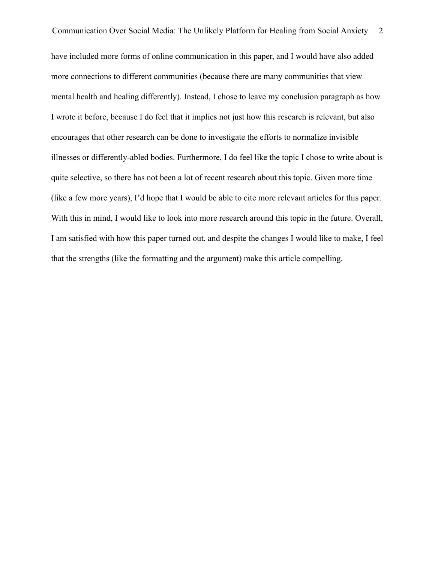Communication Over Social Media: The Unlikely Platform for Healing from Social Anxiety 2 have included more forms of online communication in this paper, and I would have also added more connections to different communities (because there are many communities that view mental health and healing differently). Instead, I chose to leave my conclusion paragraph as how I wrote it before, because I do feel that it implies not just how this research is relevant, but also encourages that other research can be done to investigate the efforts to normalize invisible illnesses or differently-abled bodies. Furthermore, I do feel like the topic I chose to write about is quite selective, so there has not been a lot of recent research about this topic. Given more time (like a few more years), I'd hope that I would be able to cite more relevant articles for this paper. With this in mind, I would like to look into more research around this topic in the future. Overall, I am satisfied with how this paper turned out, and despite the changes I would like to make, I feel that the strengths (like the formatting and the argument) make this article compelling.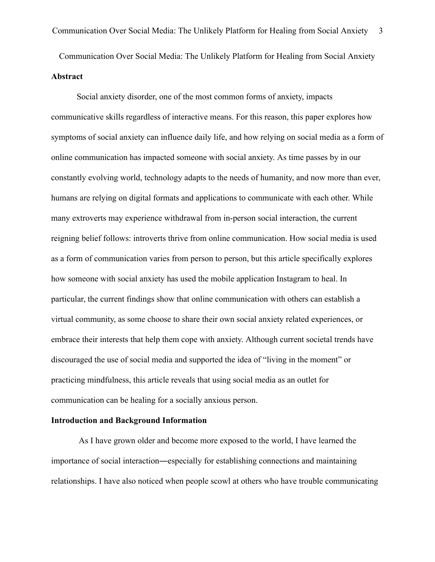Communication Over Social Media: The Unlikely Platform for Healing from Social Anxiety **Abstract** 

Social anxiety disorder, one of the most common forms of anxiety, impacts communicative skills regardless of interactive means. For this reason, this paper explores how symptoms of social anxiety can influence daily life, and how relying on social media as a form of online communication has impacted someone with social anxiety. As time passes by in our constantly evolving world, technology adapts to the needs of humanity, and now more than ever, humans are relying on digital formats and applications to communicate with each other. While many extroverts may experience withdrawal from in-person social interaction, the current reigning belief follows: introverts thrive from online communication. How social media is used as a form of communication varies from person to person, but this article specifically explores how someone with social anxiety has used the mobile application Instagram to heal. In particular, the current findings show that online communication with others can establish a virtual community, as some choose to share their own social anxiety related experiences, or embrace their interests that help them cope with anxiety. Although current societal trends have discouraged the use of social media and supported the idea of "living in the moment" or practicing mindfulness, this article reveals that using social media as an outlet for communication can be healing for a socially anxious person.

## **Introduction and Background Information**

 As I have grown older and become more exposed to the world, I have learned the importance of social interaction―especially for establishing connections and maintaining relationships. I have also noticed when people scowl at others who have trouble communicating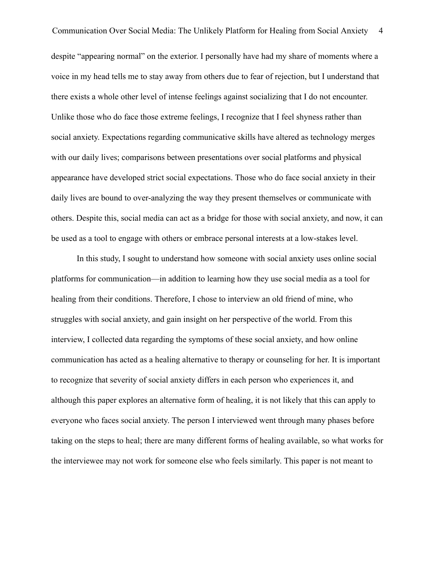Communication Over Social Media: The Unlikely Platform for Healing from Social Anxiety 4 despite "appearing normal" on the exterior. I personally have had my share of moments where a voice in my head tells me to stay away from others due to fear of rejection, but I understand that there exists a whole other level of intense feelings against socializing that I do not encounter. Unlike those who do face those extreme feelings, I recognize that I feel shyness rather than social anxiety. Expectations regarding communicative skills have altered as technology merges with our daily lives; comparisons between presentations over social platforms and physical appearance have developed strict social expectations. Those who do face social anxiety in their daily lives are bound to over-analyzing the way they present themselves or communicate with others. Despite this, social media can act as a bridge for those with social anxiety, and now, it can be used as a tool to engage with others or embrace personal interests at a low-stakes level.

In this study, I sought to understand how someone with social anxiety uses online social platforms for communication—in addition to learning how they use social media as a tool for healing from their conditions. Therefore, I chose to interview an old friend of mine, who struggles with social anxiety, and gain insight on her perspective of the world. From this interview, I collected data regarding the symptoms of these social anxiety, and how online communication has acted as a healing alternative to therapy or counseling for her. It is important to recognize that severity of social anxiety differs in each person who experiences it, and although this paper explores an alternative form of healing, it is not likely that this can apply to everyone who faces social anxiety. The person I interviewed went through many phases before taking on the steps to heal; there are many different forms of healing available, so what works for the interviewee may not work for someone else who feels similarly. This paper is not meant to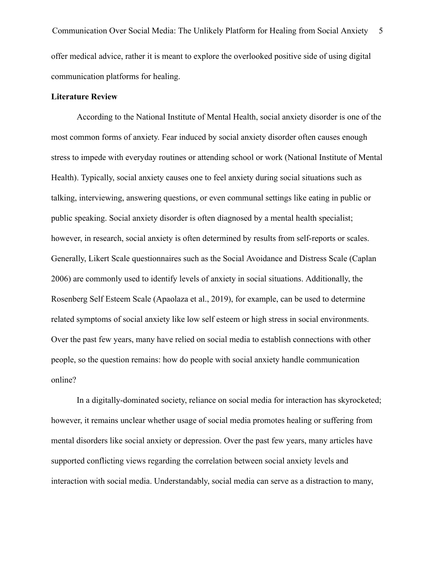Communication Over Social Media: The Unlikely Platform for Healing from Social Anxiety 5 offer medical advice, rather it is meant to explore the overlooked positive side of using digital communication platforms for healing.

### **Literature Review**

According to the National Institute of Mental Health, social anxiety disorder is one of the most common forms of anxiety. Fear induced by social anxiety disorder often causes enough stress to impede with everyday routines or attending school or work (National Institute of Mental Health). Typically, social anxiety causes one to feel anxiety during social situations such as talking, interviewing, answering questions, or even communal settings like eating in public or public speaking. Social anxiety disorder is often diagnosed by a mental health specialist; however, in research, social anxiety is often determined by results from self-reports or scales. Generally, Likert Scale questionnaires such as the Social Avoidance and Distress Scale (Caplan 2006) are commonly used to identify levels of anxiety in social situations. Additionally, the Rosenberg Self Esteem Scale (Apaolaza et al., 2019), for example, can be used to determine related symptoms of social anxiety like low self esteem or high stress in social environments. Over the past few years, many have relied on social media to establish connections with other people, so the question remains: how do people with social anxiety handle communication online?

In a digitally-dominated society, reliance on social media for interaction has skyrocketed; however, it remains unclear whether usage of social media promotes healing or suffering from mental disorders like social anxiety or depression. Over the past few years, many articles have supported conflicting views regarding the correlation between social anxiety levels and interaction with social media. Understandably, social media can serve as a distraction to many,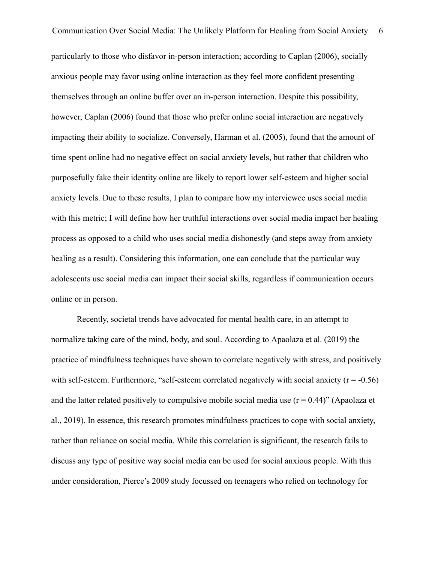Communication Over Social Media: The Unlikely Platform for Healing from Social Anxiety 6 particularly to those who disfavor in-person interaction; according to Caplan (2006), socially anxious people may favor using online interaction as they feel more confident presenting themselves through an online buffer over an in-person interaction. Despite this possibility, however, Caplan (2006) found that those who prefer online social interaction are negatively impacting their ability to socialize. Conversely, Harman et al. (2005), found that the amount of time spent online had no negative effect on social anxiety levels, but rather that children who purposefully fake their identity online are likely to report lower self-esteem and higher social anxiety levels. Due to these results, I plan to compare how my interviewee uses social media with this metric; I will define how her truthful interactions over social media impact her healing process as opposed to a child who uses social media dishonestly (and steps away from anxiety healing as a result). Considering this information, one can conclude that the particular way adolescents use social media can impact their social skills, regardless if communication occurs online or in person.

Recently, societal trends have advocated for mental health care, in an attempt to normalize taking care of the mind, body, and soul. According to Apaolaza et al. (2019) the practice of mindfulness techniques have shown to correlate negatively with stress, and positively with self-esteem. Furthermore, "self-esteem correlated negatively with social anxiety ( $r = -0.56$ ) and the latter related positively to compulsive mobile social media use  $(r = 0.44)$ " (Apaolaza et al., 2019). In essence, this research promotes mindfulness practices to cope with social anxiety, rather than reliance on social media. While this correlation is significant, the research fails to discuss any type of positive way social media can be used for social anxious people. With this under consideration, Pierce's 2009 study focussed on teenagers who relied on technology for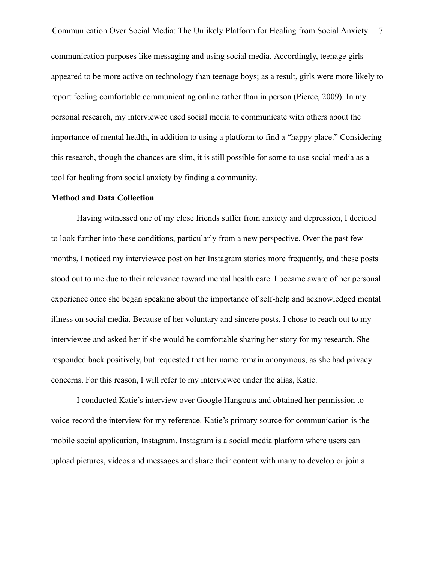Communication Over Social Media: The Unlikely Platform for Healing from Social Anxiety 7 communication purposes like messaging and using social media. Accordingly, teenage girls appeared to be more active on technology than teenage boys; as a result, girls were more likely to report feeling comfortable communicating online rather than in person (Pierce, 2009). In my personal research, my interviewee used social media to communicate with others about the importance of mental health, in addition to using a platform to find a "happy place." Considering this research, though the chances are slim, it is still possible for some to use social media as a tool for healing from social anxiety by finding a community.

#### **Method and Data Collection**

Having witnessed one of my close friends suffer from anxiety and depression, I decided to look further into these conditions, particularly from a new perspective. Over the past few months, I noticed my interviewee post on her Instagram stories more frequently, and these posts stood out to me due to their relevance toward mental health care. I became aware of her personal experience once she began speaking about the importance of self-help and acknowledged mental illness on social media. Because of her voluntary and sincere posts, I chose to reach out to my interviewee and asked her if she would be comfortable sharing her story for my research. She responded back positively, but requested that her name remain anonymous, as she had privacy concerns. For this reason, I will refer to my interviewee under the alias, Katie.

I conducted Katie's interview over Google Hangouts and obtained her permission to voice-record the interview for my reference. Katie's primary source for communication is the mobile social application, Instagram. Instagram is a social media platform where users can upload pictures, videos and messages and share their content with many to develop or join a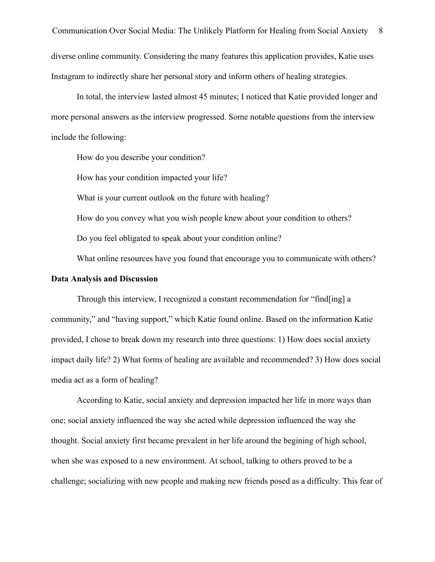In total, the interview lasted almost 45 minutes; I noticed that Katie provided longer and more personal answers as the interview progressed. Some notable questions from the interview include the following:

How do you describe your condition?

How has your condition impacted your life?

What is your current outlook on the future with healing?

How do you convey what you wish people knew about your condition to others? Do you feel obligated to speak about your condition online?

What online resources have you found that encourage you to communicate with others?

## **Data Analysis and Discussion**

Through this interview, I recognized a constant recommendation for "find[ing] a community," and "having support," which Katie found online. Based on the information Katie provided, I chose to break down my research into three questions: 1) How does social anxiety impact daily life? 2) What forms of healing are available and recommended? 3) How does social media act as a form of healing?

According to Katie, social anxiety and depression impacted her life in more ways than one; social anxiety influenced the way she acted while depression influenced the way she thought. Social anxiety first became prevalent in her life around the begining of high school, when she was exposed to a new environment. At school, talking to others proved to be a challenge; socializing with new people and making new friends posed as a difficulty. This fear of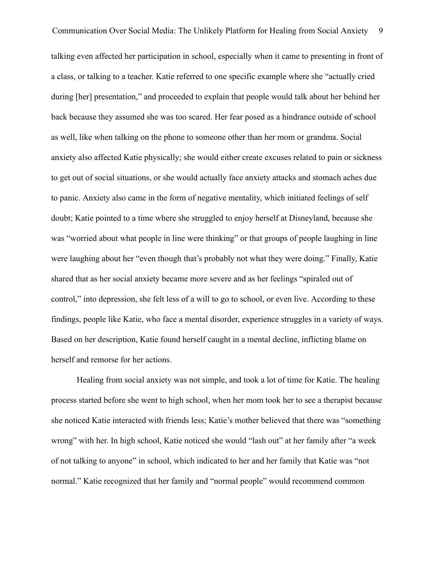Communication Over Social Media: The Unlikely Platform for Healing from Social Anxiety 9 talking even affected her participation in school, especially when it came to presenting in front of a class, or talking to a teacher. Katie referred to one specific example where she "actually cried during [her] presentation," and proceeded to explain that people would talk about her behind her back because they assumed she was too scared. Her fear posed as a hindrance outside of school as well, like when talking on the phone to someone other than her mom or grandma. Social anxiety also affected Katie physically; she would either create excuses related to pain or sickness to get out of social situations, or she would actually face anxiety attacks and stomach aches due to panic. Anxiety also came in the form of negative mentality, which initiated feelings of self doubt; Katie pointed to a time where she struggled to enjoy herself at Disneyland, because she was "worried about what people in line were thinking" or that groups of people laughing in line were laughing about her "even though that's probably not what they were doing." Finally, Katie shared that as her social anxiety became more severe and as her feelings "spiraled out of control," into depression, she felt less of a will to go to school, or even live. According to these findings, people like Katie, who face a mental disorder, experience struggles in a variety of ways. Based on her description, Katie found herself caught in a mental decline, inflicting blame on herself and remorse for her actions.

Healing from social anxiety was not simple, and took a lot of time for Katie. The healing process started before she went to high school, when her mom took her to see a therapist because she noticed Katie interacted with friends less; Katie's mother believed that there was "something wrong" with her. In high school, Katie noticed she would "lash out" at her family after "a week of not talking to anyone" in school, which indicated to her and her family that Katie was "not normal." Katie recognized that her family and "normal people" would recommend common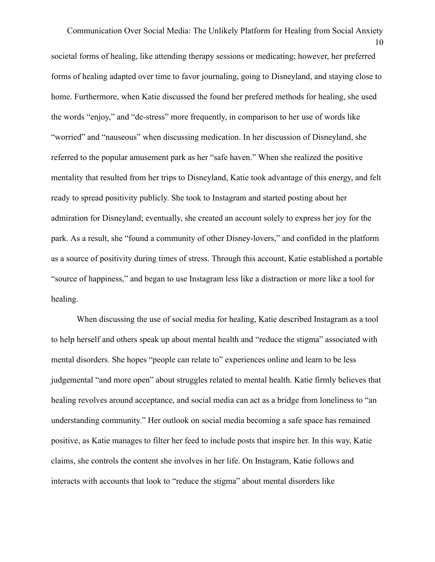Communication Over Social Media: The Unlikely Platform for Healing from Social Anxiety 10 societal forms of healing, like attending therapy sessions or medicating; however, her preferred forms of healing adapted over time to favor journaling, going to Disneyland, and staying close to home. Furthermore, when Katie discussed the found her prefered methods for healing, she used the words "enjoy," and "de-stress" more frequently, in comparison to her use of words like "worried" and "nauseous" when discussing medication. In her discussion of Disneyland, she referred to the popular amusement park as her "safe haven." When she realized the positive mentality that resulted from her trips to Disneyland, Katie took advantage of this energy, and felt ready to spread positivity publicly. She took to Instagram and started posting about her admiration for Disneyland; eventually, she created an account solely to express her joy for the park. As a result, she "found a community of other Disney-lovers," and confided in the platform as a source of positivity during times of stress. Through this account, Katie established a portable "source of happiness," and began to use Instagram less like a distraction or more like a tool for healing.

When discussing the use of social media for healing, Katie described Instagram as a tool to help herself and others speak up about mental health and "reduce the stigma" associated with mental disorders. She hopes "people can relate to" experiences online and learn to be less judgemental "and more open" about struggles related to mental health. Katie firmly believes that healing revolves around acceptance, and social media can act as a bridge from loneliness to "an understanding community." Her outlook on social media becoming a safe space has remained positive, as Katie manages to filter her feed to include posts that inspire her. In this way, Katie claims, she controls the content she involves in her life. On Instagram, Katie follows and interacts with accounts that look to "reduce the stigma" about mental disorders like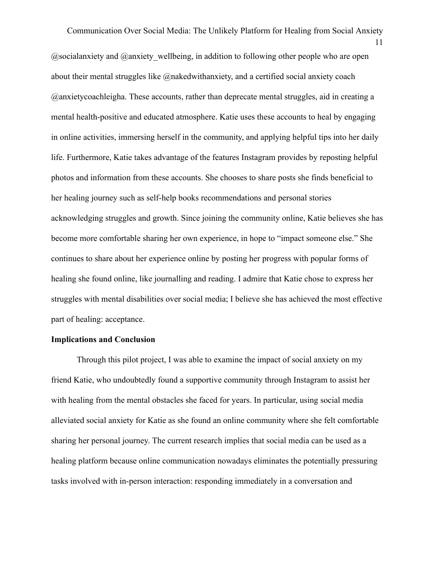Communication Over Social Media: The Unlikely Platform for Healing from Social Anxiety 11  $Q$ socialanxiety and  $Q$ anxiety wellbeing, in addition to following other people who are open about their mental struggles like @nakedwithanxiety, and a certified social anxiety coach @anxietycoachleigha. These accounts, rather than deprecate mental struggles, aid in creating a mental health-positive and educated atmosphere. Katie uses these accounts to heal by engaging in online activities, immersing herself in the community, and applying helpful tips into her daily life. Furthermore, Katie takes advantage of the features Instagram provides by reposting helpful photos and information from these accounts. She chooses to share posts she finds beneficial to her healing journey such as self-help books recommendations and personal stories acknowledging struggles and growth. Since joining the community online, Katie believes she has become more comfortable sharing her own experience, in hope to "impact someone else." She continues to share about her experience online by posting her progress with popular forms of healing she found online, like journalling and reading. I admire that Katie chose to express her struggles with mental disabilities over social media; I believe she has achieved the most effective part of healing: acceptance.

## **Implications and Conclusion**

Through this pilot project, I was able to examine the impact of social anxiety on my friend Katie, who undoubtedly found a supportive community through Instagram to assist her with healing from the mental obstacles she faced for years. In particular, using social media alleviated social anxiety for Katie as she found an online community where she felt comfortable sharing her personal journey. The current research implies that social media can be used as a healing platform because online communication nowadays eliminates the potentially pressuring tasks involved with in-person interaction: responding immediately in a conversation and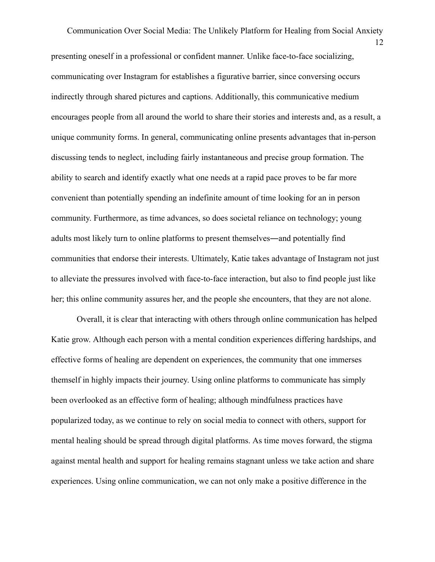Communication Over Social Media: The Unlikely Platform for Healing from Social Anxiety presenting oneself in a professional or confident manner. Unlike face-to-face socializing, communicating over Instagram for establishes a figurative barrier, since conversing occurs indirectly through shared pictures and captions. Additionally, this communicative medium encourages people from all around the world to share their stories and interests and, as a result, a unique community forms. In general, communicating online presents advantages that in-person discussing tends to neglect, including fairly instantaneous and precise group formation. The ability to search and identify exactly what one needs at a rapid pace proves to be far more convenient than potentially spending an indefinite amount of time looking for an in person community. Furthermore, as time advances, so does societal reliance on technology; young adults most likely turn to online platforms to present themselves―and potentially find communities that endorse their interests. Ultimately, Katie takes advantage of Instagram not just to alleviate the pressures involved with face-to-face interaction, but also to find people just like her; this online community assures her, and the people she encounters, that they are not alone.

Overall, it is clear that interacting with others through online communication has helped Katie grow. Although each person with a mental condition experiences differing hardships, and effective forms of healing are dependent on experiences, the community that one immerses themself in highly impacts their journey. Using online platforms to communicate has simply been overlooked as an effective form of healing; although mindfulness practices have popularized today, as we continue to rely on social media to connect with others, support for mental healing should be spread through digital platforms. As time moves forward, the stigma against mental health and support for healing remains stagnant unless we take action and share experiences. Using online communication, we can not only make a positive difference in the

12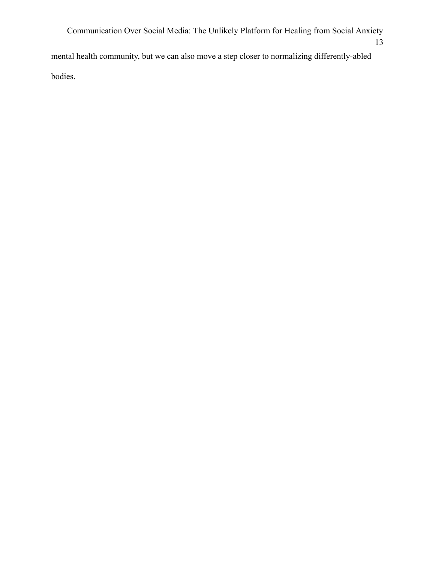Communication Over Social Media: The Unlikely Platform for Healing from Social Anxiety 13 mental health community, but we can also move a step closer to normalizing differently-abled bodies.